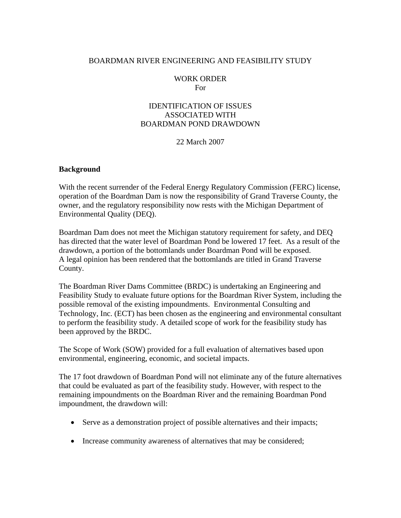#### BOARDMAN RIVER ENGINEERING AND FEASIBILITY STUDY

#### WORK ORDER For

#### IDENTIFICATION OF ISSUES ASSOCIATED WITH BOARDMAN POND DRAWDOWN

22 March 2007

#### **Background**

With the recent surrender of the Federal Energy Regulatory Commission (FERC) license, operation of the Boardman Dam is now the responsibility of Grand Traverse County, the owner, and the regulatory responsibility now rests with the Michigan Department of Environmental Quality (DEQ).

Boardman Dam does not meet the Michigan statutory requirement for safety, and DEQ has directed that the water level of Boardman Pond be lowered 17 feet. As a result of the drawdown, a portion of the bottomlands under Boardman Pond will be exposed. A legal opinion has been rendered that the bottomlands are titled in Grand Traverse County.

The Boardman River Dams Committee (BRDC) is undertaking an Engineering and Feasibility Study to evaluate future options for the Boardman River System, including the possible removal of the existing impoundments. Environmental Consulting and Technology, Inc. (ECT) has been chosen as the engineering and environmental consultant to perform the feasibility study. A detailed scope of work for the feasibility study has been approved by the BRDC.

The Scope of Work (SOW) provided for a full evaluation of alternatives based upon environmental, engineering, economic, and societal impacts.

The 17 foot drawdown of Boardman Pond will not eliminate any of the future alternatives that could be evaluated as part of the feasibility study. However, with respect to the remaining impoundments on the Boardman River and the remaining Boardman Pond impoundment, the drawdown will:

- Serve as a demonstration project of possible alternatives and their impacts;
- Increase community awareness of alternatives that may be considered;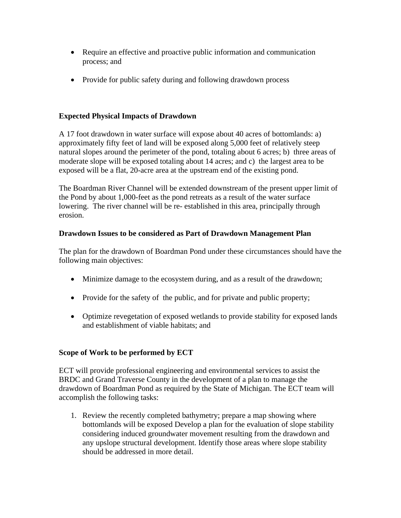- Require an effective and proactive public information and communication process; and
- Provide for public safety during and following drawdown process

# **Expected Physical Impacts of Drawdown**

A 17 foot drawdown in water surface will expose about 40 acres of bottomlands: a) approximately fifty feet of land will be exposed along 5,000 feet of relatively steep natural slopes around the perimeter of the pond, totaling about 6 acres; b) three areas of moderate slope will be exposed totaling about 14 acres; and c) the largest area to be exposed will be a flat, 20-acre area at the upstream end of the existing pond.

The Boardman River Channel will be extended downstream of the present upper limit of the Pond by about 1,000-feet as the pond retreats as a result of the water surface lowering. The river channel will be re- established in this area, principally through erosion.

# **Drawdown Issues to be considered as Part of Drawdown Management Plan**

The plan for the drawdown of Boardman Pond under these circumstances should have the following main objectives:

- Minimize damage to the ecosystem during, and as a result of the drawdown;
- Provide for the safety of the public, and for private and public property;
- Optimize revegetation of exposed wetlands to provide stability for exposed lands and establishment of viable habitats; and

# **Scope of Work to be performed by ECT**

ECT will provide professional engineering and environmental services to assist the BRDC and Grand Traverse County in the development of a plan to manage the drawdown of Boardman Pond as required by the State of Michigan. The ECT team will accomplish the following tasks:

1. Review the recently completed bathymetry; prepare a map showing where bottomlands will be exposed Develop a plan for the evaluation of slope stability considering induced groundwater movement resulting from the drawdown and any upslope structural development. Identify those areas where slope stability should be addressed in more detail.